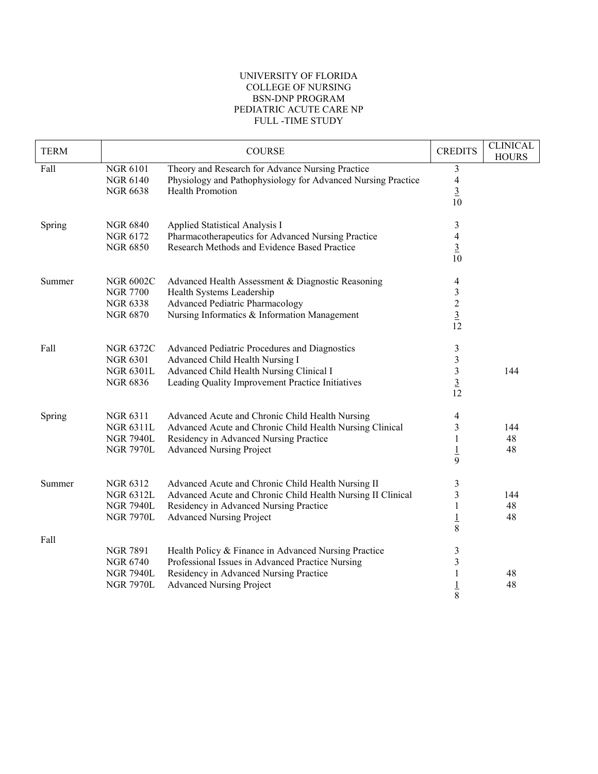## UNIVERSITY OF FLORIDA COLLEGE OF NURSING BSN-DNP PROGRAM PEDIATRIC ACUTE CARE NP FULL -TIME STUDY

| <b>TERM</b> |                                                                            | <b>COURSE</b>                                                                                                                                                                                  | <b>CREDITS</b>                                                         | <b>CLINICAL</b><br><b>HOURS</b> |
|-------------|----------------------------------------------------------------------------|------------------------------------------------------------------------------------------------------------------------------------------------------------------------------------------------|------------------------------------------------------------------------|---------------------------------|
| Fall        | <b>NGR 6101</b><br><b>NGR 6140</b><br><b>NGR 6638</b>                      | Theory and Research for Advance Nursing Practice<br>Physiology and Pathophysiology for Advanced Nursing Practice<br><b>Health Promotion</b>                                                    | 3<br>$\overline{\mathcal{A}}$<br>$\overline{3}$<br>10                  |                                 |
| Spring      | <b>NGR 6840</b><br>NGR 6172<br><b>NGR 6850</b>                             | Applied Statistical Analysis I<br>Pharmacotherapeutics for Advanced Nursing Practice<br>Research Methods and Evidence Based Practice                                                           | $\mathfrak{Z}$<br>$\overline{\mathbf{4}}$<br>$\overline{3}$<br>10      |                                 |
| Summer      | <b>NGR 6002C</b><br><b>NGR 7700</b><br><b>NGR 6338</b><br><b>NGR 6870</b>  | Advanced Health Assessment & Diagnostic Reasoning<br>Health Systems Leadership<br>Advanced Pediatric Pharmacology<br>Nursing Informatics & Information Management                              | 4<br>$\mathfrak{Z}$<br>$\overline{\mathbf{c}}$<br>$\overline{3}$<br>12 |                                 |
| Fall        | <b>NGR 6372C</b><br><b>NGR 6301</b><br><b>NGR 6301L</b><br><b>NGR 6836</b> | Advanced Pediatric Procedures and Diagnostics<br>Advanced Child Health Nursing I<br>Advanced Child Health Nursing Clinical I<br>Leading Quality Improvement Practice Initiatives               | $\mathfrak{Z}$<br>$\mathfrak{Z}$<br>$\frac{3}{12}$                     | 144                             |
| Spring      | NGR 6311<br><b>NGR 6311L</b><br><b>NGR 7940L</b><br><b>NGR 7970L</b>       | Advanced Acute and Chronic Child Health Nursing<br>Advanced Acute and Chronic Child Health Nursing Clinical<br>Residency in Advanced Nursing Practice<br><b>Advanced Nursing Project</b>       | 4<br>3<br>1<br>$\overline{1}$<br>9                                     | 144<br>48<br>48                 |
| Summer      | NGR 6312<br><b>NGR 6312L</b><br><b>NGR 7940L</b><br><b>NGR 7970L</b>       | Advanced Acute and Chronic Child Health Nursing II<br>Advanced Acute and Chronic Child Health Nursing II Clinical<br>Residency in Advanced Nursing Practice<br><b>Advanced Nursing Project</b> | 3<br>$\mathfrak{Z}$<br>1<br>$\overline{1}$<br>8                        | 144<br>48<br>48                 |
| Fall        | <b>NGR 7891</b><br><b>NGR 6740</b><br><b>NGR 7940L</b><br><b>NGR 7970L</b> | Health Policy & Finance in Advanced Nursing Practice<br>Professional Issues in Advanced Practice Nursing<br>Residency in Advanced Nursing Practice<br><b>Advanced Nursing Project</b>          | $\mathfrak{Z}$<br>3<br>1<br>$\overline{1}$<br>8                        | 48<br>48                        |